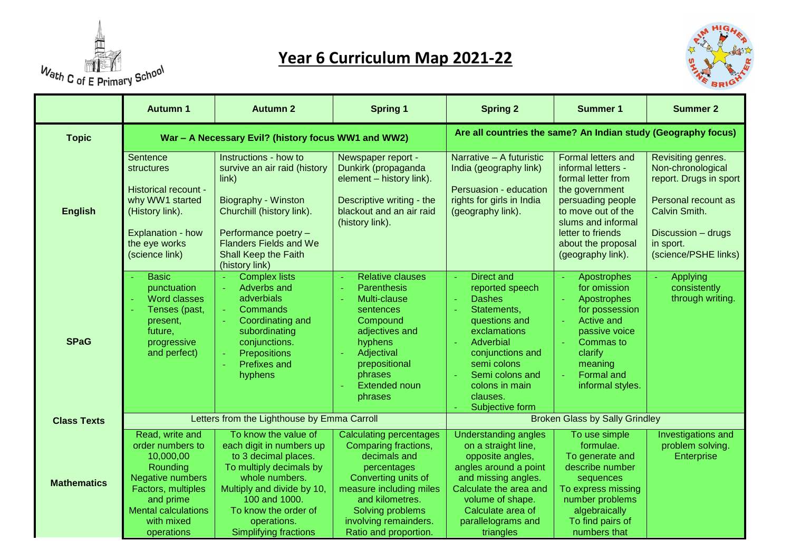

## **Year 6 Curriculum Map 2021-22**



|                    | <b>Autumn 1</b>                                                                                                                                                               | <b>Autumn 2</b>                                                                                                                                                                                                                             | <b>Spring 1</b>                                                                                                                                                                                                                  | <b>Spring 2</b>                                                                                                                                                                                                                                       | <b>Summer 1</b>                                                                                                                                                                                                   | <b>Summer 2</b>                                                                                                                                                      |
|--------------------|-------------------------------------------------------------------------------------------------------------------------------------------------------------------------------|---------------------------------------------------------------------------------------------------------------------------------------------------------------------------------------------------------------------------------------------|----------------------------------------------------------------------------------------------------------------------------------------------------------------------------------------------------------------------------------|-------------------------------------------------------------------------------------------------------------------------------------------------------------------------------------------------------------------------------------------------------|-------------------------------------------------------------------------------------------------------------------------------------------------------------------------------------------------------------------|----------------------------------------------------------------------------------------------------------------------------------------------------------------------|
| <b>Topic</b>       | War - A Necessary Evil? (history focus WW1 and WW2)                                                                                                                           |                                                                                                                                                                                                                                             |                                                                                                                                                                                                                                  | Are all countries the same? An Indian study (Geography focus)                                                                                                                                                                                         |                                                                                                                                                                                                                   |                                                                                                                                                                      |
| <b>English</b>     | Sentence<br>structures<br>Historical recount -<br>why WW1 started<br>(History link).<br>Explanation - how<br>the eye works<br>(science link)                                  | Instructions - how to<br>survive an air raid (history<br>$\overline{\text{link}}$<br>Biography - Winston<br>Churchill (history link).<br>Performance poetry -<br><b>Flanders Fields and We</b><br>Shall Keep the Faith<br>(history link)    | Newspaper report -<br>Dunkirk (propaganda<br>element - history link).<br>Descriptive writing - the<br>blackout and an air raid<br>(history link).                                                                                | Narrative - A futuristic<br>India (geography link)<br>Persuasion - education<br>rights for girls in India<br>(geography link).                                                                                                                        | Formal letters and<br>informal letters -<br>formal letter from<br>the government<br>persuading people<br>to move out of the<br>slums and informal<br>letter to friends<br>about the proposal<br>(geography link). | Revisiting genres.<br>Non-chronological<br>report. Drugs in sport<br>Personal recount as<br>Calvin Smith.<br>Discussion - drugs<br>in sport.<br>(science/PSHE links) |
| <b>SPaG</b>        | <b>Basic</b><br>punctuation<br><b>Word classes</b><br>Tenses (past,<br>present,<br>future,<br>progressive<br>and perfect)                                                     | <b>Complex lists</b><br>Adverbs and<br>adverbials<br>Commands<br>$\omega$ .<br>Coordinating and<br>subordinating<br>conjunctions.<br>Prepositions<br><b>Prefixes and</b><br>hyphens                                                         | <b>Relative clauses</b><br>$\sim$<br><b>Parenthesis</b><br>÷,<br>Multi-clause<br>sentences<br>Compound<br>adjectives and<br>hyphens<br>Adjectival<br>prepositional<br>phrases<br><b>Extended noun</b><br>phrases                 | Direct and<br>÷<br>reported speech<br><b>Dashes</b><br>$\omega$<br>Statements,<br>÷.<br>questions and<br>exclamations<br>Adverbial<br>conjunctions and<br>semi colons<br>Semi colons and<br>$\omega$<br>colons in main<br>clauses.<br>Subjective form | Apostrophes<br>for omission<br>Apostrophes<br>for possession<br><b>Active and</b><br>passive voice<br>Commas to<br>clarify<br>meaning<br><b>Formal and</b><br>informal styles.                                    | Applying<br>consistently<br>through writing.                                                                                                                         |
| <b>Class Texts</b> | Letters from the Lighthouse by Emma Carroll                                                                                                                                   |                                                                                                                                                                                                                                             | <b>Broken Glass by Sally Grindley</b>                                                                                                                                                                                            |                                                                                                                                                                                                                                                       |                                                                                                                                                                                                                   |                                                                                                                                                                      |
| <b>Mathematics</b> | Read, write and<br>order numbers to<br>10,000,00<br>Rounding<br>Negative numbers<br>Factors, multiples<br>and prime<br><b>Mental calculations</b><br>with mixed<br>operations | To know the value of<br>each digit in numbers up<br>to 3 decimal places.<br>To multiply decimals by<br>whole numbers.<br>Multiply and divide by 10,<br>100 and 1000.<br>To know the order of<br>operations.<br><b>Simplifying fractions</b> | <b>Calculating percentages</b><br>Comparing fractions,<br>decimals and<br>percentages<br>Converting units of<br>measure including miles<br>and kilometres.<br>Solving problems<br>involving remainders.<br>Ratio and proportion. | <b>Understanding angles</b><br>on a straight line,<br>opposite angles,<br>angles around a point<br>and missing angles.<br>Calculate the area and<br>volume of shape.<br>Calculate area of<br>parallelograms and<br>triangles                          | To use simple<br>formulae.<br>To generate and<br>describe number<br>sequences<br>To express missing<br>number problems<br>algebraically<br>To find pairs of<br>numbers that                                       | Investigations and<br>problem solving.<br>Enterprise                                                                                                                 |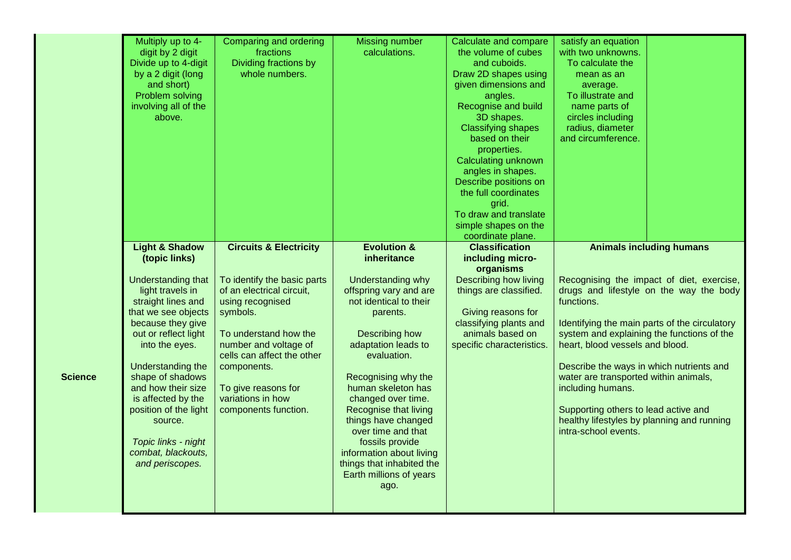|                | Multiply up to 4-<br>digit by 2 digit<br>Divide up to 4-digit<br>by a 2 digit (long<br>and short)<br>Problem solving<br>involving all of the<br>above.                                                                                                                                   | Comparing and ordering<br>fractions<br>Dividing fractions by<br>whole numbers.                                                                                                                                                                              | <b>Missing number</b><br>calculations.                                                                                                                                                                                                               | Calculate and compare<br>the volume of cubes<br>and cuboids.<br>Draw 2D shapes using<br>given dimensions and<br>angles.<br>Recognise and build<br>3D shapes.<br><b>Classifying shapes</b><br>based on their<br>properties.<br>Calculating unknown<br>angles in shapes.<br>Describe positions on<br>the full coordinates<br>grid.<br>To draw and translate<br>simple shapes on the<br>coordinate plane. | satisfy an equation<br>with two unknowns.<br>To calculate the<br>mean as an<br>average.<br>To illustrate and<br>name parts of<br>circles including<br>radius, diameter<br>and circumference.                                                  |                                                                                                                                       |
|----------------|------------------------------------------------------------------------------------------------------------------------------------------------------------------------------------------------------------------------------------------------------------------------------------------|-------------------------------------------------------------------------------------------------------------------------------------------------------------------------------------------------------------------------------------------------------------|------------------------------------------------------------------------------------------------------------------------------------------------------------------------------------------------------------------------------------------------------|--------------------------------------------------------------------------------------------------------------------------------------------------------------------------------------------------------------------------------------------------------------------------------------------------------------------------------------------------------------------------------------------------------|-----------------------------------------------------------------------------------------------------------------------------------------------------------------------------------------------------------------------------------------------|---------------------------------------------------------------------------------------------------------------------------------------|
| <b>Science</b> | (topic links)<br><b>Understanding that</b><br>light travels in<br>straight lines and<br>that we see objects<br>because they give<br>out or reflect light<br>into the eyes.<br>Understanding the<br>shape of shadows<br>and how their size<br>is affected by the<br>position of the light | To identify the basic parts<br>of an electrical circuit,<br>using recognised<br>symbols.<br>To understand how the<br>number and voltage of<br>cells can affect the other<br>components.<br>To give reasons for<br>variations in how<br>components function. | inheritance<br>Understanding why<br>offspring vary and are<br>not identical to their<br>parents.<br>Describing how<br>adaptation leads to<br>evaluation.<br>Recognising why the<br>human skeleton has<br>changed over time.<br>Recognise that living | including micro-<br>organisms<br><b>Describing how living</b><br>things are classified.<br>Giving reasons for<br>classifying plants and<br>animals based on<br>specific characteristics.                                                                                                                                                                                                               | functions.<br>system and explaining the functions of the<br>heart, blood vessels and blood.<br>Describe the ways in which nutrients and<br>water are transported within animals,<br>including humans.<br>Supporting others to lead active and | Recognising the impact of diet, exercise,<br>drugs and lifestyle on the way the body<br>Identifying the main parts of the circulatory |
|                | source.<br>Topic links - night<br>combat, blackouts,<br>and periscopes.                                                                                                                                                                                                                  |                                                                                                                                                                                                                                                             | things have changed<br>over time and that<br>fossils provide<br>information about living<br>things that inhabited the<br>Earth millions of years<br>ago.                                                                                             |                                                                                                                                                                                                                                                                                                                                                                                                        | healthy lifestyles by planning and running<br>intra-school events.                                                                                                                                                                            |                                                                                                                                       |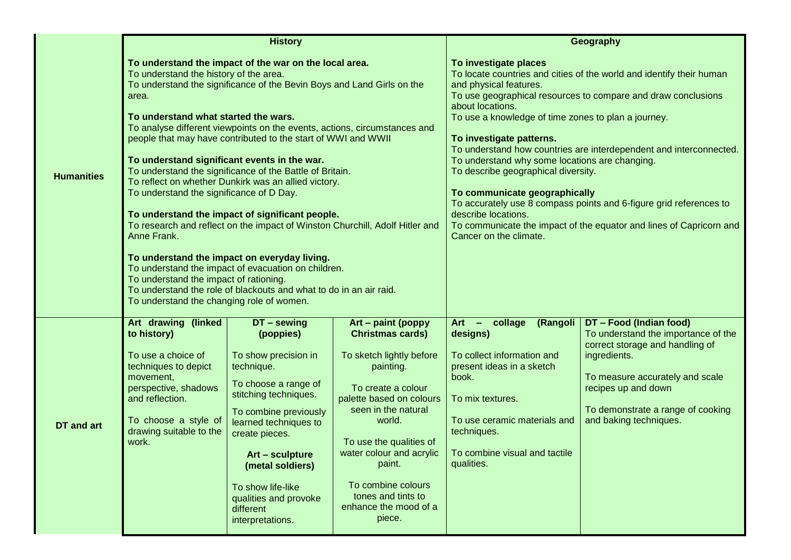|                   | <b>History</b>                                                                                                                                                                                                                                                                                                                                                                                                                                                                                                                                                                                                                                                                                                                                                                                                                                                                                                                                                                                                  |                                                                                                                                                                                                                                                                                                           |                                                                                                                                                                                                                                                                                                                           | Geography                                                                                                                                                                                                                                                                                                                                                                                                                                                                                                                                                                                                                                                                                     |                                                                                                                                                                                                                                            |  |
|-------------------|-----------------------------------------------------------------------------------------------------------------------------------------------------------------------------------------------------------------------------------------------------------------------------------------------------------------------------------------------------------------------------------------------------------------------------------------------------------------------------------------------------------------------------------------------------------------------------------------------------------------------------------------------------------------------------------------------------------------------------------------------------------------------------------------------------------------------------------------------------------------------------------------------------------------------------------------------------------------------------------------------------------------|-----------------------------------------------------------------------------------------------------------------------------------------------------------------------------------------------------------------------------------------------------------------------------------------------------------|---------------------------------------------------------------------------------------------------------------------------------------------------------------------------------------------------------------------------------------------------------------------------------------------------------------------------|-----------------------------------------------------------------------------------------------------------------------------------------------------------------------------------------------------------------------------------------------------------------------------------------------------------------------------------------------------------------------------------------------------------------------------------------------------------------------------------------------------------------------------------------------------------------------------------------------------------------------------------------------------------------------------------------------|--------------------------------------------------------------------------------------------------------------------------------------------------------------------------------------------------------------------------------------------|--|
| <b>Humanities</b> | To understand the impact of the war on the local area.<br>To understand the history of the area.<br>To understand the significance of the Bevin Boys and Land Girls on the<br>area.<br>To understand what started the wars.<br>To analyse different viewpoints on the events, actions, circumstances and<br>people that may have contributed to the start of WWI and WWII<br>To understand significant events in the war.<br>To understand the significance of the Battle of Britain.<br>To reflect on whether Dunkirk was an allied victory.<br>To understand the significance of D Day.<br>To understand the impact of significant people.<br>To research and reflect on the impact of Winston Churchill, Adolf Hitler and<br>Anne Frank.<br>To understand the impact on everyday living.<br>To understand the impact of evacuation on children.<br>To understand the impact of rationing.<br>To understand the role of blackouts and what to do in an air raid.<br>To understand the changing role of women. |                                                                                                                                                                                                                                                                                                           |                                                                                                                                                                                                                                                                                                                           | To investigate places<br>To locate countries and cities of the world and identify their human<br>and physical features.<br>To use geographical resources to compare and draw conclusions<br>about locations.<br>To use a knowledge of time zones to plan a journey.<br>To investigate patterns.<br>To understand how countries are interdependent and interconnected.<br>To understand why some locations are changing.<br>To describe geographical diversity.<br>To communicate geographically<br>To accurately use 8 compass points and 6-figure grid references to<br>describe locations.<br>To communicate the impact of the equator and lines of Capricorn and<br>Cancer on the climate. |                                                                                                                                                                                                                                            |  |
| <b>DT</b> and art | Art drawing (linked<br>to history)<br>To use a choice of<br>techniques to depict<br>movement,<br>perspective, shadows<br>and reflection.<br>To choose a style of<br>drawing suitable to the<br>work.                                                                                                                                                                                                                                                                                                                                                                                                                                                                                                                                                                                                                                                                                                                                                                                                            | DT - sewing<br>(poppies)<br>To show precision in<br>technique.<br>To choose a range of<br>stitching techniques.<br>To combine previously<br>learned techniques to<br>create pieces.<br>Art - sculpture<br>(metal soldiers)<br>To show life-like<br>qualities and provoke<br>different<br>interpretations. | Art - paint (poppy<br><b>Christmas cards)</b><br>To sketch lightly before<br>painting.<br>To create a colour<br>palette based on colours<br>seen in the natural<br>world.<br>To use the qualities of<br>water colour and acrylic<br>paint.<br>To combine colours<br>tones and tints to<br>enhance the mood of a<br>piece. | Art - collage<br>(Rangoli<br>designs)<br>To collect information and<br>present ideas in a sketch<br>book.<br>To mix textures.<br>To use ceramic materials and<br>techniques.<br>To combine visual and tactile<br>qualities.                                                                                                                                                                                                                                                                                                                                                                                                                                                                   | DT - Food (Indian food)<br>To understand the importance of the<br>correct storage and handling of<br>ingredients.<br>To measure accurately and scale<br>recipes up and down<br>To demonstrate a range of cooking<br>and baking techniques. |  |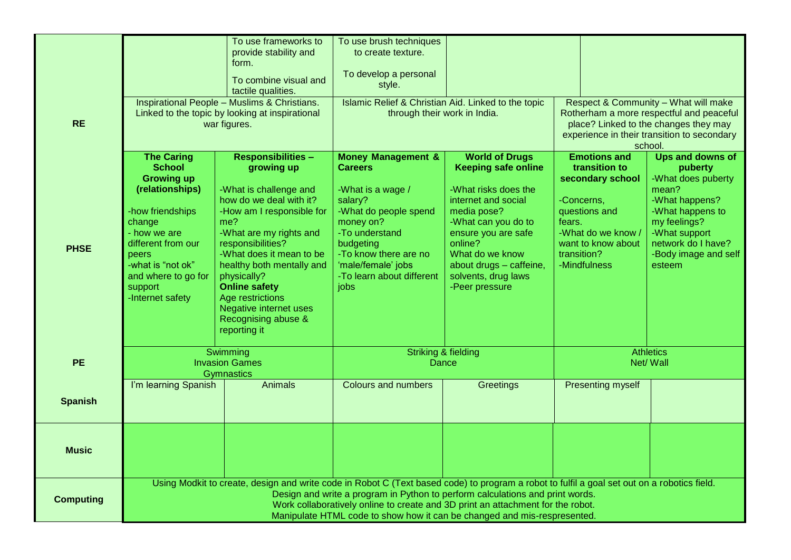| <b>RE</b>        |                                                                                                                                                                                                                                                                                                                                                                                             | To use frameworks to<br>provide stability and<br>form.<br>To combine visual and<br>tactile qualities.<br><b>Inspirational People - Muslims &amp; Christians.</b><br>Linked to the topic by looking at inspirational<br>war figures.                                                                                                                                   | To use brush techniques<br>to create texture.<br>To develop a personal<br>style.<br>Islamic Relief & Christian Aid. Linked to the topic<br>through their work in India.                                                                  |                                                                                                                                                                                                                                                                   |                                                                                                                                                                              | Respect & Community - What will make<br>Rotherham a more respectful and peaceful<br>place? Linked to the changes they may<br>experience in their transition to secondary<br>school.       |
|------------------|---------------------------------------------------------------------------------------------------------------------------------------------------------------------------------------------------------------------------------------------------------------------------------------------------------------------------------------------------------------------------------------------|-----------------------------------------------------------------------------------------------------------------------------------------------------------------------------------------------------------------------------------------------------------------------------------------------------------------------------------------------------------------------|------------------------------------------------------------------------------------------------------------------------------------------------------------------------------------------------------------------------------------------|-------------------------------------------------------------------------------------------------------------------------------------------------------------------------------------------------------------------------------------------------------------------|------------------------------------------------------------------------------------------------------------------------------------------------------------------------------|-------------------------------------------------------------------------------------------------------------------------------------------------------------------------------------------|
| <b>PHSE</b>      | <b>The Caring</b><br><b>School</b><br><b>Growing up</b><br>(relationships)<br>-how friendships<br>change<br>- how we are<br>different from our<br>peers<br>-what is "not ok"<br>and where to go for<br>support<br>-Internet safety                                                                                                                                                          | <b>Responsibilities -</b><br>growing up<br>-What is challenge and<br>how do we deal with it?<br>-How am I responsible for<br>me?<br>-What are my rights and<br>responsibilities?<br>-What does it mean to be<br>healthy both mentally and<br>physically?<br><b>Online safety</b><br>Age restrictions<br>Negative internet uses<br>Recognising abuse &<br>reporting it | <b>Money Management &amp;</b><br><b>Careers</b><br>-What is a wage /<br>salary?<br>-What do people spend<br>money on?<br>-To understand<br>budgeting<br>-To know there are no<br>'male/female' jobs<br>-To learn about different<br>jobs | <b>World of Drugs</b><br><b>Keeping safe online</b><br>-What risks does the<br>internet and social<br>media pose?<br>-What can you do to<br>ensure you are safe<br>online?<br>What do we know<br>about drugs - caffeine,<br>solvents, drug laws<br>-Peer pressure | <b>Emotions and</b><br>transition to<br>secondary school<br>-Concerns,<br>questions and<br>fears.<br>-What do we know /<br>want to know about<br>transition?<br>-Mindfulness | Ups and downs of<br>puberty<br>-What does puberty<br>mean?<br>-What happens?<br>-What happens to<br>my feelings?<br>-What support<br>network do I have?<br>-Body image and self<br>esteem |
| <b>PE</b>        | Swimming<br><b>Invasion Games</b>                                                                                                                                                                                                                                                                                                                                                           |                                                                                                                                                                                                                                                                                                                                                                       | <b>Striking &amp; fielding</b><br>Dance                                                                                                                                                                                                  |                                                                                                                                                                                                                                                                   | <b>Athletics</b><br>Net/Wall                                                                                                                                                 |                                                                                                                                                                                           |
| <b>Spanish</b>   | I'm learning Spanish                                                                                                                                                                                                                                                                                                                                                                        | <b>Gymnastics</b><br><b>Animals</b>                                                                                                                                                                                                                                                                                                                                   | <b>Colours and numbers</b>                                                                                                                                                                                                               | Greetings                                                                                                                                                                                                                                                         | Presenting myself                                                                                                                                                            |                                                                                                                                                                                           |
| <b>Music</b>     |                                                                                                                                                                                                                                                                                                                                                                                             |                                                                                                                                                                                                                                                                                                                                                                       |                                                                                                                                                                                                                                          |                                                                                                                                                                                                                                                                   |                                                                                                                                                                              |                                                                                                                                                                                           |
| <b>Computing</b> | Using Modkit to create, design and write code in Robot C (Text based code) to program a robot to fulfil a goal set out on a robotics field.<br>Design and write a program in Python to perform calculations and print words.<br>Work collaboratively online to create and 3D print an attachment for the robot.<br>Manipulate HTML code to show how it can be changed and mis-respresented. |                                                                                                                                                                                                                                                                                                                                                                       |                                                                                                                                                                                                                                          |                                                                                                                                                                                                                                                                   |                                                                                                                                                                              |                                                                                                                                                                                           |